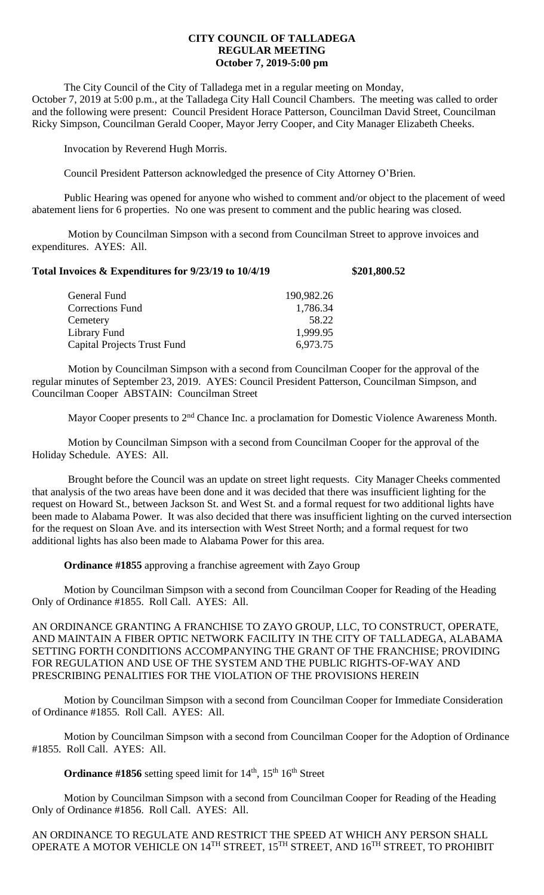## **CITY COUNCIL OF TALLADEGA REGULAR MEETING October 7, 2019-5:00 pm**

The City Council of the City of Talladega met in a regular meeting on Monday, October 7, 2019 at 5:00 p.m., at the Talladega City Hall Council Chambers. The meeting was called to order and the following were present: Council President Horace Patterson, Councilman David Street, Councilman Ricky Simpson, Councilman Gerald Cooper, Mayor Jerry Cooper, and City Manager Elizabeth Cheeks.

Invocation by Reverend Hugh Morris.

Council President Patterson acknowledged the presence of City Attorney O'Brien.

Public Hearing was opened for anyone who wished to comment and/or object to the placement of weed abatement liens for 6 properties. No one was present to comment and the public hearing was closed.

Motion by Councilman Simpson with a second from Councilman Street to approve invoices and expenditures. AYES: All.

| Total Invoices & Expenditures for 9/23/19 to 10/4/19 |            | \$201,800.52 |
|------------------------------------------------------|------------|--------------|
| General Fund                                         | 190,982.26 |              |
| Corrections Fund                                     | 1,786.34   |              |
| Cemetery                                             | 58.22      |              |

Library Fund 1,999.95 Capital Projects Trust Fund 6,973.75

Motion by Councilman Simpson with a second from Councilman Cooper for the approval of the regular minutes of September 23, 2019. AYES: Council President Patterson, Councilman Simpson, and Councilman Cooper ABSTAIN: Councilman Street

Mayor Cooper presents to 2<sup>nd</sup> Chance Inc. a proclamation for Domestic Violence Awareness Month.

Motion by Councilman Simpson with a second from Councilman Cooper for the approval of the Holiday Schedule. AYES: All.

Brought before the Council was an update on street light requests. City Manager Cheeks commented that analysis of the two areas have been done and it was decided that there was insufficient lighting for the request on Howard St., between Jackson St. and West St. and a formal request for two additional lights have been made to Alabama Power. It was also decided that there was insufficient lighting on the curved intersection for the request on Sloan Ave. and its intersection with West Street North; and a formal request for two additional lights has also been made to Alabama Power for this area.

**Ordinance #1855** approving a franchise agreement with Zayo Group

Motion by Councilman Simpson with a second from Councilman Cooper for Reading of the Heading Only of Ordinance #1855. Roll Call. AYES: All.

AN ORDINANCE GRANTING A FRANCHISE TO ZAYO GROUP, LLC, TO CONSTRUCT, OPERATE, AND MAINTAIN A FIBER OPTIC NETWORK FACILITY IN THE CITY OF TALLADEGA, ALABAMA SETTING FORTH CONDITIONS ACCOMPANYING THE GRANT OF THE FRANCHISE; PROVIDING FOR REGULATION AND USE OF THE SYSTEM AND THE PUBLIC RIGHTS-OF-WAY AND PRESCRIBING PENALITIES FOR THE VIOLATION OF THE PROVISIONS HEREIN

Motion by Councilman Simpson with a second from Councilman Cooper for Immediate Consideration of Ordinance #1855. Roll Call. AYES: All.

Motion by Councilman Simpson with a second from Councilman Cooper for the Adoption of Ordinance #1855. Roll Call. AYES: All.

**Ordinance #1856** setting speed limit for 14<sup>th</sup>, 15<sup>th</sup> 16<sup>th</sup> Street

Motion by Councilman Simpson with a second from Councilman Cooper for Reading of the Heading Only of Ordinance #1856. Roll Call. AYES: All.

AN ORDINANCE TO REGULATE AND RESTRICT THE SPEED AT WHICH ANY PERSON SHALL OPERATE A MOTOR VEHICLE ON 14 $^{\rm TH}$  STREET, 15 $^{\rm TH}$  STREET, AND 16 $^{\rm TH}$  STREET, TO PROHIBIT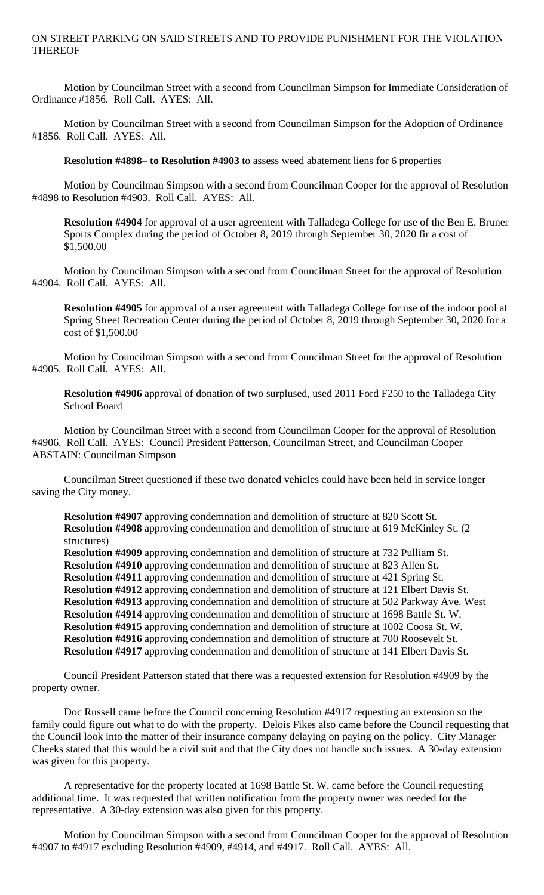## ON STREET PARKING ON SAID STREETS AND TO PROVIDE PUNISHMENT FOR THE VIOLATION THEREOF

Motion by Councilman Street with a second from Councilman Simpson for Immediate Consideration of Ordinance #1856. Roll Call. AYES: All.

Motion by Councilman Street with a second from Councilman Simpson for the Adoption of Ordinance #1856. Roll Call. AYES: All.

**Resolution #4898– to Resolution #4903** to assess weed abatement liens for 6 properties

Motion by Councilman Simpson with a second from Councilman Cooper for the approval of Resolution #4898 to Resolution #4903. Roll Call. AYES: All.

**Resolution #4904** for approval of a user agreement with Talladega College for use of the Ben E. Bruner Sports Complex during the period of October 8, 2019 through September 30, 2020 fir a cost of \$1,500.00

Motion by Councilman Simpson with a second from Councilman Street for the approval of Resolution #4904. Roll Call. AYES: All.

**Resolution #4905** for approval of a user agreement with Talladega College for use of the indoor pool at Spring Street Recreation Center during the period of October 8, 2019 through September 30, 2020 for a cost of \$1,500.00

Motion by Councilman Simpson with a second from Councilman Street for the approval of Resolution #4905. Roll Call. AYES: All.

**Resolution #4906** approval of donation of two surplused, used 2011 Ford F250 to the Talladega City School Board

Motion by Councilman Street with a second from Councilman Cooper for the approval of Resolution #4906. Roll Call. AYES: Council President Patterson, Councilman Street, and Councilman Cooper ABSTAIN: Councilman Simpson

Councilman Street questioned if these two donated vehicles could have been held in service longer saving the City money.

**Resolution #4907** approving condemnation and demolition of structure at 820 Scott St. **Resolution #4908** approving condemnation and demolition of structure at 619 McKinley St. (2 structures)

**Resolution #4909** approving condemnation and demolition of structure at 732 Pulliam St. **Resolution #4910** approving condemnation and demolition of structure at 823 Allen St. **Resolution #4911** approving condemnation and demolition of structure at 421 Spring St. **Resolution #4912** approving condemnation and demolition of structure at 121 Elbert Davis St. **Resolution #4913** approving condemnation and demolition of structure at 502 Parkway Ave. West **Resolution #4914** approving condemnation and demolition of structure at 1698 Battle St. W. **Resolution #4915** approving condemnation and demolition of structure at 1002 Coosa St. W. **Resolution #4916** approving condemnation and demolition of structure at 700 Roosevelt St. **Resolution #4917** approving condemnation and demolition of structure at 141 Elbert Davis St.

Council President Patterson stated that there was a requested extension for Resolution #4909 by the property owner.

Doc Russell came before the Council concerning Resolution #4917 requesting an extension so the family could figure out what to do with the property. Delois Fikes also came before the Council requesting that the Council look into the matter of their insurance company delaying on paying on the policy. City Manager Cheeks stated that this would be a civil suit and that the City does not handle such issues. A 30-day extension was given for this property.

A representative for the property located at 1698 Battle St. W. came before the Council requesting additional time. It was requested that written notification from the property owner was needed for the representative. A 30-day extension was also given for this property.

Motion by Councilman Simpson with a second from Councilman Cooper for the approval of Resolution #4907 to #4917 excluding Resolution #4909, #4914, and #4917. Roll Call. AYES: All.